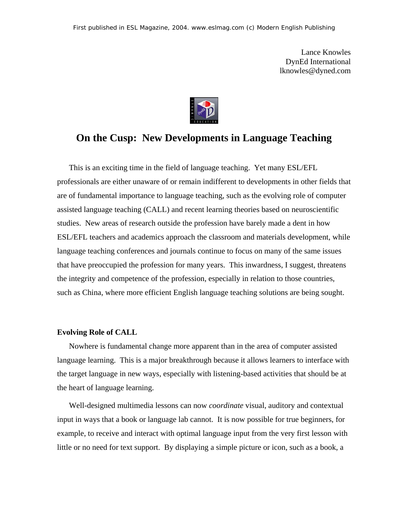Lance Knowles DynEd International lknowles@dyned.com



# **On the Cusp: New Developments in Language Teaching**

This is an exciting time in the field of language teaching. Yet many ESL/EFL professionals are either unaware of or remain indifferent to developments in other fields that are of fundamental importance to language teaching, such as the evolving role of computer assisted language teaching (CALL) and recent learning theories based on neuroscientific studies. New areas of research outside the profession have barely made a dent in how ESL/EFL teachers and academics approach the classroom and materials development, while language teaching conferences and journals continue to focus on many of the same issues that have preoccupied the profession for many years. This inwardness, I suggest, threatens the integrity and competence of the profession, especially in relation to those countries, such as China, where more efficient English language teaching solutions are being sought.

#### **Evolving Role of CALL**

Nowhere is fundamental change more apparent than in the area of computer assisted language learning. This is a major breakthrough because it allows learners to interface with the target language in new ways, especially with listening-based activities that should be at the heart of language learning.

Well-designed multimedia lessons can now *coordinate* visual, auditory and contextual input in ways that a book or language lab cannot. It is now possible for true beginners, for example, to receive and interact with optimal language input from the very first lesson with little or no need for text support. By displaying a simple picture or icon, such as a book, a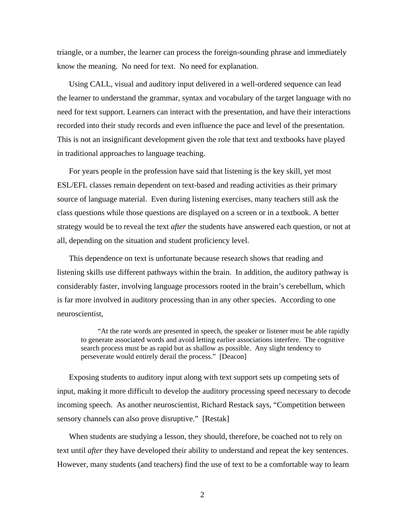triangle, or a number, the learner can process the foreign-sounding phrase and immediately know the meaning. No need for text. No need for explanation.

Using CALL, visual and auditory input delivered in a well-ordered sequence can lead the learner to understand the grammar, syntax and vocabulary of the target language with no need for text support. Learners can interact with the presentation, and have their interactions recorded into their study records and even influence the pace and level of the presentation. This is not an insignificant development given the role that text and textbooks have played in traditional approaches to language teaching.

For years people in the profession have said that listening is the key skill, yet most ESL/EFL classes remain dependent on text-based and reading activities as their primary source of language material. Even during listening exercises, many teachers still ask the class questions while those questions are displayed on a screen or in a textbook. A better strategy would be to reveal the text *after* the students have answered each question, or not at all, depending on the situation and student proficiency level.

This dependence on text is unfortunate because research shows that reading and listening skills use different pathways within the brain. In addition, the auditory pathway is considerably faster, involving language processors rooted in the brain's cerebellum, which is far more involved in auditory processing than in any other species. According to one neuroscientist,

"At the rate words are presented in speech, the speaker or listener must be able rapidly to generate associated words and avoid letting earlier associations interfere. The cognitive search process must be as rapid but as shallow as possible. Any slight tendency to perseverate would entirely derail the process." [Deacon]

Exposing students to auditory input along with text support sets up competing sets of input, making it more difficult to develop the auditory processing speed necessary to decode incoming speech. As another neuroscientist, Richard Restack says, "Competition between sensory channels can also prove disruptive." [Restak]

When students are studying a lesson, they should, therefore, be coached not to rely on text until *after* they have developed their ability to understand and repeat the key sentences. However, many students (and teachers) find the use of text to be a comfortable way to learn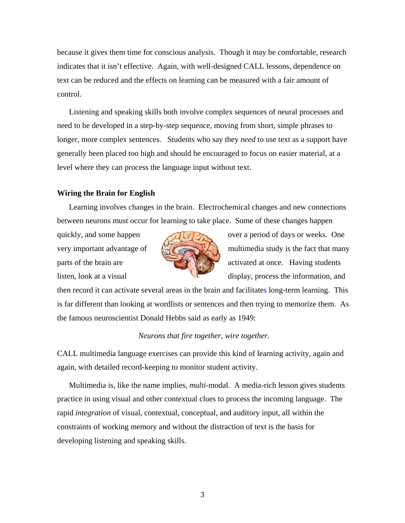because it gives them time for conscious analysis. Though it may be comfortable, research indicates that it isn't effective. Again, with well-designed CALL lessons, dependence on text can be reduced and the effects on learning can be measured with a fair amount of control.

Listening and speaking skills both involve complex sequences of neural processes and need to be developed in a step-by-step sequence, moving from short, simple phrases to longer, more complex sentences. Students who say they *need* to use text as a support have generally been placed too high and should be encouraged to focus on easier material, at a level where they can process the language input without text.

## **Wiring the Brain for English**

Learning involves changes in the brain. Electrochemical changes and new connections between neurons must occur for learning to take place. Some of these changes happen



quickly, and some happen over a period of days or weeks. One very important advantage of  $\left(\frac{1}{2}\right)$  multimedia study is the fact that many parts of the brain are activated at once. Having students listen, look at a visual display, process the information, and

then record it can activate several areas in the brain and facilitates long-term learning. This is far different than looking at wordlists or sentences and then trying to memorize them. As the famous neuroscientist Donald Hebbs said as early as 1949:

## *Neurons that fire together, wire together.*

CALL multimedia language exercises can provide this kind of learning activity, again and again, with detailed record-keeping to monitor student activity.

Multimedia is, like the name implies, *multi*-modal. A media-rich lesson gives students practice in using visual and other contextual clues to process the incoming language. The rapid *integration* of visual, contextual, conceptual, and auditory input, all within the constraints of working memory and without the distraction of text is the basis for developing listening and speaking skills.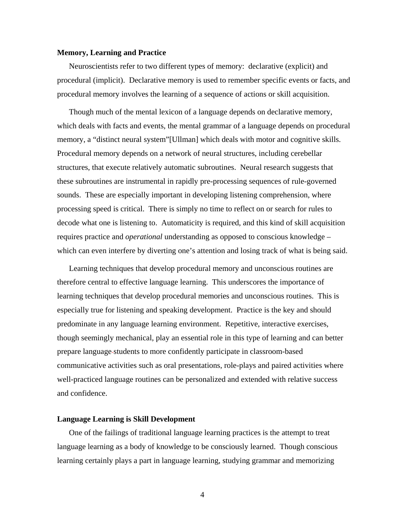#### **Memory, Learning and Practice**

Neuroscientists refer to two different types of memory: declarative (explicit) and procedural (implicit). Declarative memory is used to remember specific events or facts, and procedural memory involves the learning of a sequence of actions or skill acquisition.

Though much of the mental lexicon of a language depends on declarative memory, which deals with facts and events, the mental grammar of a language depends on procedural memory, a "distinct neural system"[Ullman] which deals with motor and cognitive skills. Procedural memory depends on a network of neural structures, including cerebellar structures, that execute relatively automatic subroutines. Neural research suggests that these subroutines are instrumental in rapidly pre-processing sequences of rule-governed sounds. These are especially important in developing listening comprehension, where processing speed is critical. There is simply no time to reflect on or search for rules to decode what one is listening to. Automaticity is required, and this kind of skill acquisition requires practice and *operational* understanding as opposed to conscious knowledge – which can even interfere by diverting one's attention and losing track of what is being said.

Learning techniques that develop procedural memory and unconscious routines are therefore central to effective language learning. This underscores the importance of learning techniques that develop procedural memories and unconscious routines. This is especially true for listening and speaking development. Practice is the key and should predominate in any language learning environment. Repetitive, interactive exercises, though seemingly mechanical, play an essential role in this type of learning and can better prepare language students to more confidently participate in classroom-based communicative activities such as oral presentations, role-plays and paired activities where well-practiced language routines can be personalized and extended with relative success and confidence.

## **Language Learning is Skill Development**

One of the failings of traditional language learning practices is the attempt to treat language learning as a body of knowledge to be consciously learned. Though conscious learning certainly plays a part in language learning, studying grammar and memorizing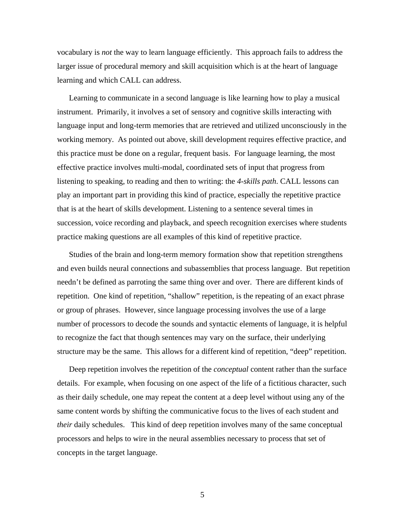vocabulary is *not* the way to learn language efficiently. This approach fails to address the larger issue of procedural memory and skill acquisition which is at the heart of language learning and which CALL can address.

Learning to communicate in a second language is like learning how to play a musical instrument. Primarily, it involves a set of sensory and cognitive skills interacting with language input and long-term memories that are retrieved and utilized unconsciously in the working memory. As pointed out above, skill development requires effective practice, and this practice must be done on a regular, frequent basis. For language learning, the most effective practice involves multi-modal, coordinated sets of input that progress from listening to speaking, to reading and then to writing: the *4-skills path*. CALL lessons can play an important part in providing this kind of practice, especially the repetitive practice that is at the heart of skills development. Listening to a sentence several times in succession, voice recording and playback, and speech recognition exercises where students practice making questions are all examples of this kind of repetitive practice.

Studies of the brain and long-term memory formation show that repetition strengthens and even builds neural connections and subassemblies that process language. But repetition needn't be defined as parroting the same thing over and over. There are different kinds of repetition. One kind of repetition, "shallow" repetition, is the repeating of an exact phrase or group of phrases. However, since language processing involves the use of a large number of processors to decode the sounds and syntactic elements of language, it is helpful to recognize the fact that though sentences may vary on the surface, their underlying structure may be the same. This allows for a different kind of repetition, "deep" repetition.

Deep repetition involves the repetition of the *conceptual* content rather than the surface details. For example, when focusing on one aspect of the life of a fictitious character, such as their daily schedule, one may repeat the content at a deep level without using any of the same content words by shifting the communicative focus to the lives of each student and *their* daily schedules. This kind of deep repetition involves many of the same conceptual processors and helps to wire in the neural assemblies necessary to process that set of concepts in the target language.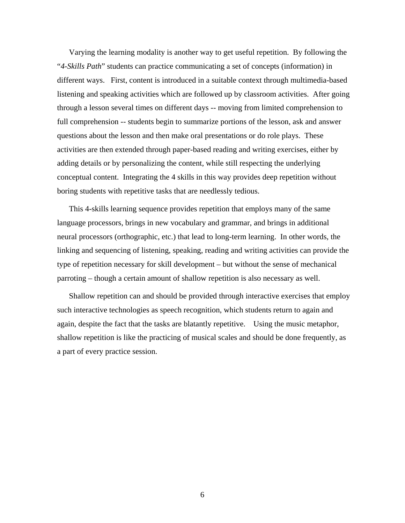Varying the learning modality is another way to get useful repetition. By following the "*4-Skills Path*" students can practice communicating a set of concepts (information) in different ways. First, content is introduced in a suitable context through multimedia-based listening and speaking activities which are followed up by classroom activities. After going through a lesson several times on different days -- moving from limited comprehension to full comprehension -- students begin to summarize portions of the lesson, ask and answer questions about the lesson and then make oral presentations or do role plays. These activities are then extended through paper-based reading and writing exercises, either by adding details or by personalizing the content, while still respecting the underlying conceptual content. Integrating the 4 skills in this way provides deep repetition without boring students with repetitive tasks that are needlessly tedious.

This 4-skills learning sequence provides repetition that employs many of the same language processors, brings in new vocabulary and grammar, and brings in additional neural processors (orthographic, etc.) that lead to long-term learning. In other words, the linking and sequencing of listening, speaking, reading and writing activities can provide the type of repetition necessary for skill development – but without the sense of mechanical parroting – though a certain amount of shallow repetition is also necessary as well.

Shallow repetition can and should be provided through interactive exercises that employ such interactive technologies as speech recognition, which students return to again and again, despite the fact that the tasks are blatantly repetitive. Using the music metaphor, shallow repetition is like the practicing of musical scales and should be done frequently, as a part of every practice session.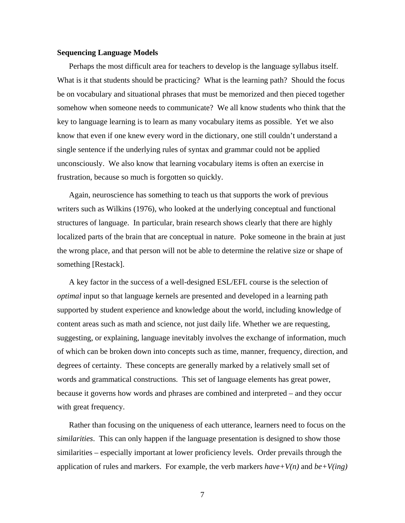#### **Sequencing Language Models**

Perhaps the most difficult area for teachers to develop is the language syllabus itself. What is it that students should be practicing? What is the learning path? Should the focus be on vocabulary and situational phrases that must be memorized and then pieced together somehow when someone needs to communicate? We all know students who think that the key to language learning is to learn as many vocabulary items as possible. Yet we also know that even if one knew every word in the dictionary, one still couldn't understand a single sentence if the underlying rules of syntax and grammar could not be applied unconsciously. We also know that learning vocabulary items is often an exercise in frustration, because so much is forgotten so quickly.

Again, neuroscience has something to teach us that supports the work of previous writers such as Wilkins (1976), who looked at the underlying conceptual and functional structures of language. In particular, brain research shows clearly that there are highly localized parts of the brain that are conceptual in nature. Poke someone in the brain at just the wrong place, and that person will not be able to determine the relative size or shape of something [Restack].

A key factor in the success of a well-designed ESL/EFL course is the selection of *optimal* input so that language kernels are presented and developed in a learning path supported by student experience and knowledge about the world, including knowledge of content areas such as math and science, not just daily life. Whether we are requesting, suggesting, or explaining, language inevitably involves the exchange of information, much of which can be broken down into concepts such as time, manner, frequency, direction, and degrees of certainty. These concepts are generally marked by a relatively small set of words and grammatical constructions. This set of language elements has great power, because it governs how words and phrases are combined and interpreted – and they occur with great frequency.

Rather than focusing on the uniqueness of each utterance, learners need to focus on the *similarities*. This can only happen if the language presentation is designed to show those similarities – especially important at lower proficiency levels. Order prevails through the application of rules and markers. For example, the verb markers *have+V(n)* and *be+V(ing)*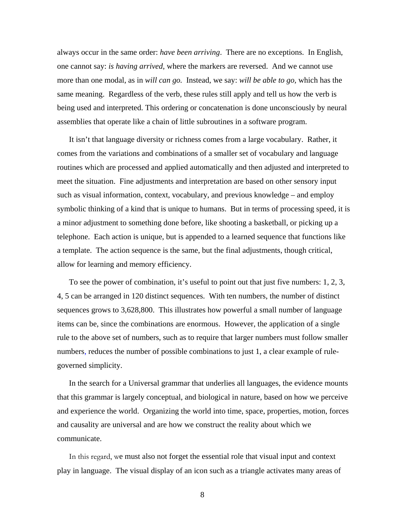always occur in the same order: *have been arriving*. There are no exceptions. In English, one cannot say: *is having arrived*, where the markers are reversed. And we cannot use more than one modal, as in *will can go.* Instead, we say: *will be able to go,* which has the same meaning. Regardless of the verb, these rules still apply and tell us how the verb is being used and interpreted. This ordering or concatenation is done unconsciously by neural assemblies that operate like a chain of little subroutines in a software program.

It isn't that language diversity or richness comes from a large vocabulary. Rather, it comes from the variations and combinations of a smaller set of vocabulary and language routines which are processed and applied automatically and then adjusted and interpreted to meet the situation. Fine adjustments and interpretation are based on other sensory input such as visual information, context, vocabulary, and previous knowledge – and employ symbolic thinking of a kind that is unique to humans. But in terms of processing speed, it is a minor adjustment to something done before, like shooting a basketball, or picking up a telephone. Each action is unique, but is appended to a learned sequence that functions like a template. The action sequence is the same, but the final adjustments, though critical, allow for learning and memory efficiency.

To see the power of combination, it's useful to point out that just five numbers: 1, 2, 3, 4, 5 can be arranged in 120 distinct sequences. With ten numbers, the number of distinct sequences grows to 3,628,800. This illustrates how powerful a small number of language items can be, since the combinations are enormous. However, the application of a single rule to the above set of numbers, such as to require that larger numbers must follow smaller numbers, reduces the number of possible combinations to just 1, a clear example of rulegoverned simplicity.

In the search for a Universal grammar that underlies all languages, the evidence mounts that this grammar is largely conceptual, and biological in nature, based on how we perceive and experience the world. Organizing the world into time, space, properties, motion, forces and causality are universal and are how we construct the reality about which we communicate.

In this regard, we must also not forget the essential role that visual input and context play in language. The visual display of an icon such as a triangle activates many areas of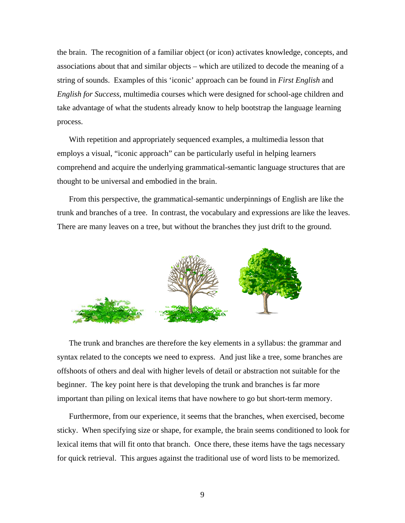the brain. The recognition of a familiar object (or icon) activates knowledge, concepts, and associations about that and similar objects – which are utilized to decode the meaning of a string of sounds. Examples of this 'iconic' approach can be found in *First English* and *English for Success*, multimedia courses which were designed for school-age children and take advantage of what the students already know to help bootstrap the language learning process.

With repetition and appropriately sequenced examples, a multimedia lesson that employs a visual, "iconic approach" can be particularly useful in helping learners comprehend and acquire the underlying grammatical-semantic language structures that are thought to be universal and embodied in the brain.

From this perspective, the grammatical-semantic underpinnings of English are like the trunk and branches of a tree. In contrast, the vocabulary and expressions are like the leaves. There are many leaves on a tree, but without the branches they just drift to the ground.



The trunk and branches are therefore the key elements in a syllabus: the grammar and syntax related to the concepts we need to express. And just like a tree, some branches are offshoots of others and deal with higher levels of detail or abstraction not suitable for the beginner. The key point here is that developing the trunk and branches is far more important than piling on lexical items that have nowhere to go but short-term memory.

Furthermore, from our experience, it seems that the branches, when exercised, become sticky. When specifying size or shape, for example, the brain seems conditioned to look for lexical items that will fit onto that branch. Once there, these items have the tags necessary for quick retrieval. This argues against the traditional use of word lists to be memorized.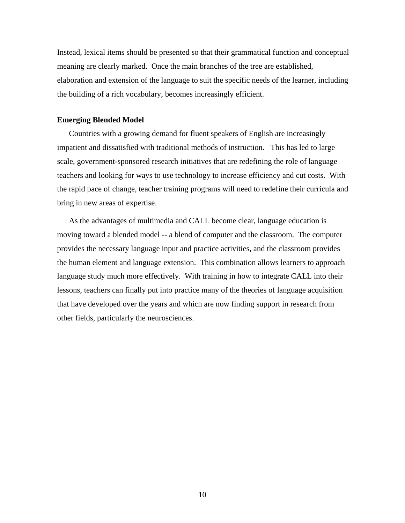Instead, lexical items should be presented so that their grammatical function and conceptual meaning are clearly marked. Once the main branches of the tree are established, elaboration and extension of the language to suit the specific needs of the learner, including the building of a rich vocabulary, becomes increasingly efficient.

## **Emerging Blended Model**

Countries with a growing demand for fluent speakers of English are increasingly impatient and dissatisfied with traditional methods of instruction. This has led to large scale, government-sponsored research initiatives that are redefining the role of language teachers and looking for ways to use technology to increase efficiency and cut costs. With the rapid pace of change, teacher training programs will need to redefine their curricula and bring in new areas of expertise.

As the advantages of multimedia and CALL become clear, language education is moving toward a blended model -- a blend of computer and the classroom. The computer provides the necessary language input and practice activities, and the classroom provides the human element and language extension. This combination allows learners to approach language study much more effectively. With training in how to integrate CALL into their lessons, teachers can finally put into practice many of the theories of language acquisition that have developed over the years and which are now finding support in research from other fields, particularly the neurosciences.